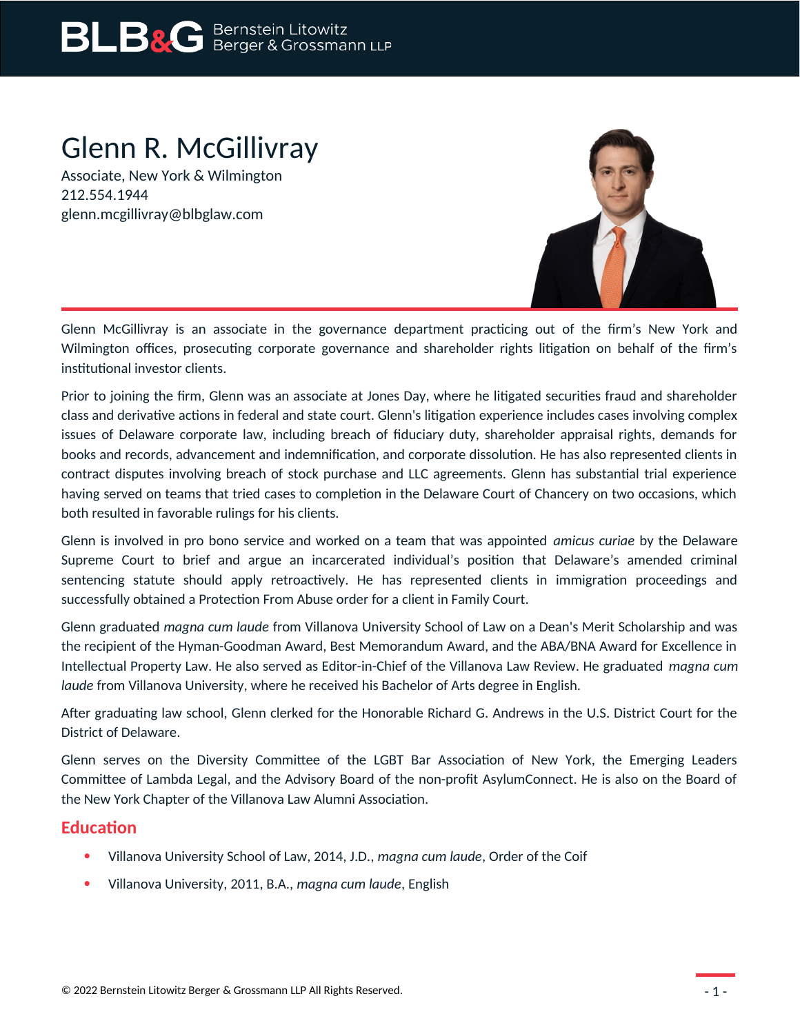## **BLB&G** Bernstein Litowitz

## Glenn R. McGillivray

Associate, New York & Wilmington 212.554.1944 glenn.mcgillivray@blbglaw.com



Glenn McGillivray is an associate in the governance department practicing out of the firm's New York and Wilmington offices, prosecuting corporate governance and shareholder rights litigation on behalf of the firm's institutional investor clients.

Prior to joining the firm, Glenn was an associate at Jones Day, where he litigated securities fraud and shareholder class and derivative actions in federal and state court. Glenn's litigation experience includes cases involving complex issues of Delaware corporate law, including breach of fiduciary duty, shareholder appraisal rights, demands for books and records, advancement and indemnification, and corporate dissolution. He has also represented clients in contract disputes involving breach of stock purchase and LLC agreements. Glenn has substantial trial experience having served on teams that tried cases to completion in the Delaware Court of Chancery on two occasions, which both resulted in favorable rulings for his clients.

Glenn is involved in pro bono service and worked on a team that was appointed *amicus curiae* by the Delaware Supreme Court to brief and argue an incarcerated individual's position that Delaware's amended criminal sentencing statute should apply retroactively. He has represented clients in immigration proceedings and successfully obtained a Protection From Abuse order for a client in Family Court.

Glenn graduated *magna cum laude* from Villanova University School of Law on a Dean's Merit Scholarship and was the recipient of the Hyman-Goodman Award, Best Memorandum Award, and the ABA/BNA Award for Excellence in Intellectual Property Law. He also served as Editor-in-Chief of the Villanova Law Review. He graduated *magna cum laude* from Villanova University, where he received his Bachelor of Arts degree in English.

After graduating law school, Glenn clerked for the Honorable Richard G. Andrews in the U.S. District Court for the District of Delaware.

Glenn serves on the Diversity Committee of the LGBT Bar Association of New York, the Emerging Leaders Committee of Lambda Legal, and the Advisory Board of the non-profit AsylumConnect. He is also on the Board of the New York Chapter of the Villanova Law Alumni Association.

## **Education**

- Villanova University School of Law, 2014, J.D., *magna cum laude*, Order of the Coif
- Villanova University, 2011, B.A., *magna cum laude*, English